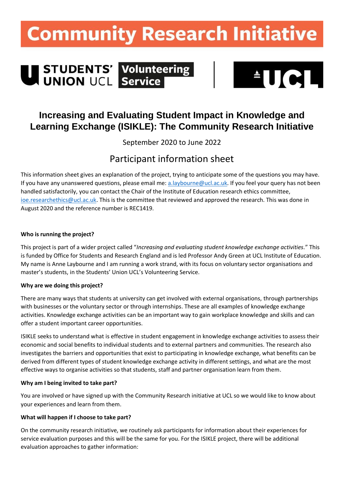## **Community Research Initiative**

# U STUDENTS' Volunteering



### **Increasing and Evaluating Student Impact in Knowledge and Learning Exchange (ISIKLE): The Community Research Initiative**

September 2020 to June 2022

## Participant information sheet

This information sheet gives an explanation of the project, trying to anticipate some of the questions you may have. If you have any unanswered questions, please email me[: a.laybourne@ucl.ac.uk.](mailto:a.laybourne@ucl.ac.uk) If you feel your query has not been handled satisfactorily, you can contact the Chair of the Institute of Education research ethics committee, [ioe.researchethics@ucl.ac.uk.](mailto:ioe.researchethics@ucl.ac.uk) This is the committee that reviewed and approved the research. This was done in August 2020 and the reference number is REC1419.

#### **Who is running the project?**

This project is part of a wider project called "*Increasing and evaluating student knowledge exchange activities.*" This is funded by Office for Students and Research England and is led Professor Andy Green at UCL Institute of Education. My name is Anne Laybourne and I am running a work strand, with its focus on voluntary sector organisations and master's students, in the Students' Union UCL's Volunteering Service.

#### **Why are we doing this project?**

There are many ways that students at university can get involved with external organisations, through partnerships with businesses or the voluntary sector or through internships. These are all examples of knowledge exchange activities. Knowledge exchange activities can be an important way to gain workplace knowledge and skills and can offer a student important career opportunities.

ISIKLE seeks to understand what is effective in student engagement in knowledge exchange activities to assess their economic and social benefits to individual students and to external partners and communities. The research also investigates the barriers and opportunities that exist to participating in knowledge exchange, what benefits can be derived from different types of student knowledge exchange activity in different settings, and what are the most effective ways to organise activities so that students, staff and partner organisation learn from them.

#### **Why am I being invited to take part?**

You are involved or have signed up with the Community Research initiative at UCL so we would like to know about your experiences and learn from them.

#### **What will happen if I choose to take part?**

On the community research initiative, we routinely ask participants for information about their experiences for service evaluation purposes and this will be the same for you. For the ISIKLE project, there will be additional evaluation approaches to gather information: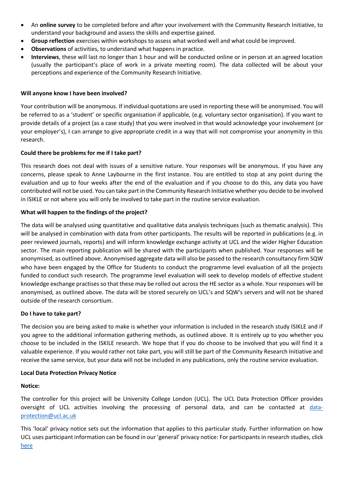- An **online survey** to be completed before and after your involvement with the Community Research Initiative, to understand your background and assess the skills and expertise gained.
- **Group reflection** exercises within workshops to assess what worked well and what could be improved.
- **Observations** of activities, to understand what happens in practice.
- **Interviews**, these will last no longer than 1 hour and will be conducted online or in person at an agreed location (usually the participant's place of work in a private meeting room). The data collected will be about your perceptions and experience of the Community Research Initiative.

#### **Will anyone know I have been involved?**

Your contribution will be anonymous. If individual quotations are used in reporting these will be anonymised. You will be referred to as a 'student' or specific organisation if applicable, (e.g. voluntary sector organisation). If you want to provide details of a project (as a case study) that you were involved in that would acknowledge your involvement (or your employer's), I can arrange to give appropriate credit in a way that will not compromise your anonymity in this research.

#### **Could there be problems for me if I take part?**

This research does not deal with issues of a sensitive nature. Your responses will be anonymous. If you have any concerns, please speak to Anne Laybourne in the first instance. You are entitled to stop at any point during the evaluation and up to four weeks after the end of the evaluation and if you choose to do this, any data you have contributed will not be used. You can take part in the Community Research Initiative whether you decide to be involved in ISIKLE or not where you will only be involved to take part in the routine service evaluation.

#### **What will happen to the findings of the project?**

The data will be analysed using quantitative and qualitative data analysis techniques (such as thematic analysis). This will be analysed in combination with data from other participants. The results will be reported in publications (e.g. in peer reviewed journals, reports) and will inform knowledge exchange activity at UCL and the wider Higher Education sector. The main reporting publication will be shared with the participants when published. Your responses will be anonymised, as outlined above. Anonymised aggregate data will also be passed to the research consultancy firm SQW who have been engaged by the Office for Students to conduct the programme level evaluation of all the projects funded to conduct such research. The programme level evaluation will seek to develop models of effective student knowledge exchange practises so that these may be rolled out across the HE sector as a whole. Your responses will be anonymised, as outlined above. The data will be stored securely on UCL's and SQW's servers and will not be shared outside of the research consortium.

#### **Do I have to take part?**

The decision you are being asked to make is whether your information is included in the research study ISIKLE and if you agree to the additional information gathering methods, as outlined above. It is entirely up to you whether you choose to be included in the ISKILE research. We hope that if you do choose to be involved that you will find it a valuable experience. If you would rather not take part, you will still be part of the Community Research Initiative and receive the same service, but your data will not be included in any publications, only the routine service evaluation.

#### **Local Data Protection Privacy Notice**

#### **Notice:**

The controller for this project will be University College London (UCL). The UCL Data Protection Officer provides oversight of UCL activities involving the processing of personal data, and can be contacted at [data](mailto:data-protection@ucl.ac.uk)[protection@ucl.ac.uk](mailto:data-protection@ucl.ac.uk)

This 'local' privacy notice sets out the information that applies to this particular study. Further information on how UCL uses participant information can be found in our 'general' privacy notice: For participants in research studies, click [here](https://www.ucl.ac.uk/legal-services/privacy/ucl-general-research-participant-privacy-notice)